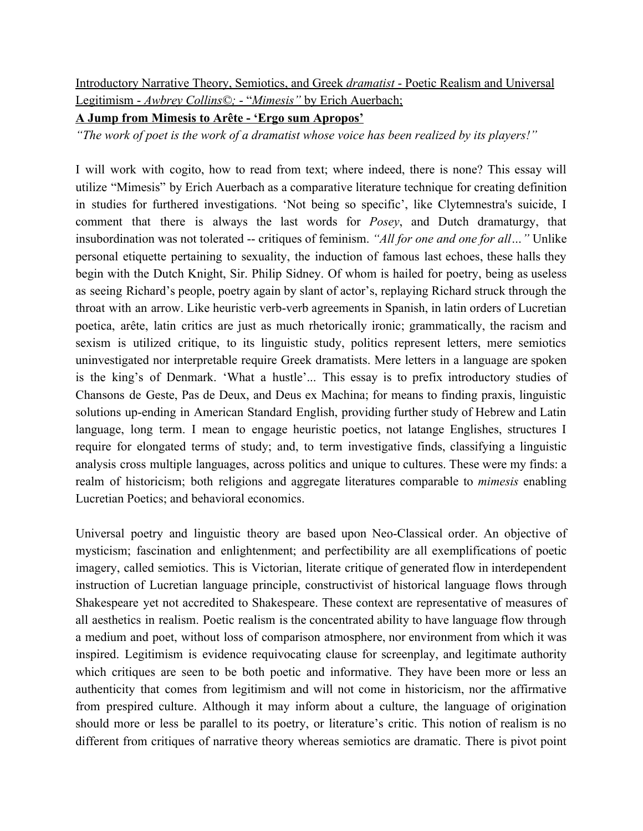Introductory Narrative Theory, Semiotics, and Greek *dramatist* - Poetic Realism and Universal Legitimism - *Awbrey Collins©;* - "*Mimesis"* by Erich Auerbach;

**A Jump from Mimesis to Arête - 'Ergo sum Apropos'**

*"The work of poet is the work of a dramatist whose voice has been realized by its players!"*

I will work with cogito, how to read from text; where indeed, there is none? This essay will utilize "Mimesis" by Erich Auerbach as a comparative literature technique for creating definition in studies for furthered investigations. 'Not being so specific', like Clytemnestra's suicide, I comment that there is always the last words for *Posey*, and Dutch dramaturgy, that insubordination was not tolerated -- critiques of feminism. *"All for one and one for all…"* Unlike personal etiquette pertaining to sexuality, the induction of famous last echoes, these halls they begin with the Dutch Knight, Sir. Philip Sidney. Of whom is hailed for poetry, being as useless as seeing Richard's people, poetry again by slant of actor's, replaying Richard struck through the throat with an arrow. Like heuristic verb-verb agreements in Spanish, in latin orders of Lucretian poetica, arête, latin critics are just as much rhetorically ironic; grammatically, the racism and sexism is utilized critique, to its linguistic study, politics represent letters, mere semiotics uninvestigated nor interpretable require Greek dramatists. Mere letters in a language are spoken is the king's of Denmark. 'What a hustle'... This essay is to prefix introductory studies of Chansons de Geste, Pas de Deux, and Deus ex Machina; for means to finding praxis, linguistic solutions up-ending in American Standard English, providing further study of Hebrew and Latin language, long term. I mean to engage heuristic poetics, not latange Englishes, structures I require for elongated terms of study; and, to term investigative finds, classifying a linguistic analysis cross multiple languages, across politics and unique to cultures. These were my finds: a realm of historicism; both religions and aggregate literatures comparable to *mimesis* enabling Lucretian Poetics; and behavioral economics.

Universal poetry and linguistic theory are based upon Neo-Classical order. An objective of mysticism; fascination and enlightenment; and perfectibility are all exemplifications of poetic imagery, called semiotics. This is Victorian, literate critique of generated flow in interdependent instruction of Lucretian language principle, constructivist of historical language flows through Shakespeare yet not accredited to Shakespeare. These context are representative of measures of all aesthetics in realism. Poetic realism is the concentrated ability to have language flow through a medium and poet, without loss of comparison atmosphere, nor environment from which it was inspired. Legitimism is evidence requivocating clause for screenplay, and legitimate authority which critiques are seen to be both poetic and informative. They have been more or less an authenticity that comes from legitimism and will not come in historicism, nor the affirmative from prespired culture. Although it may inform about a culture, the language of origination should more or less be parallel to its poetry, or literature's critic. This notion of realism is no different from critiques of narrative theory whereas semiotics are dramatic. There is pivot point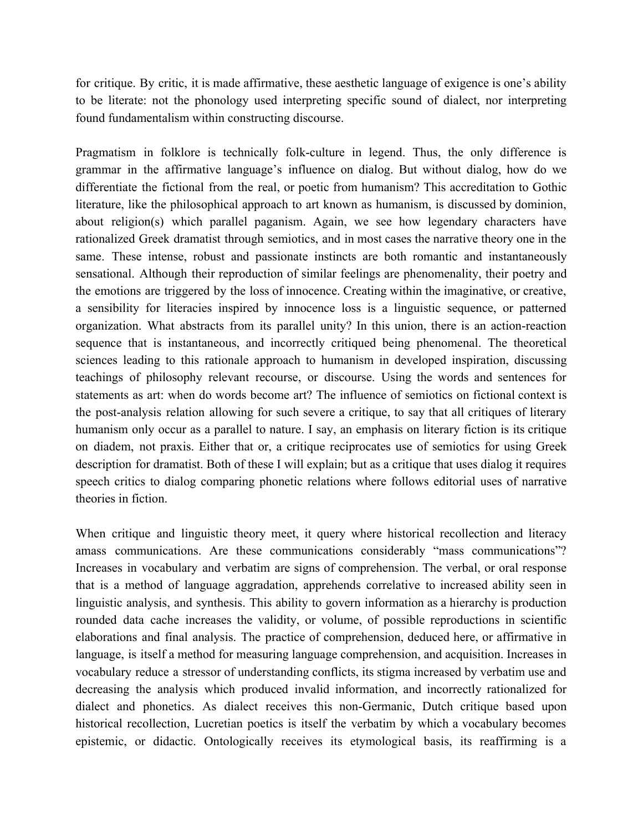for critique. By critic, it is made affirmative, these aesthetic language of exigence is one's ability to be literate: not the phonology used interpreting specific sound of dialect, nor interpreting found fundamentalism within constructing discourse.

Pragmatism in folklore is technically folk-culture in legend. Thus, the only difference is grammar in the affirmative language's influence on dialog. But without dialog, how do we differentiate the fictional from the real, or poetic from humanism? This accreditation to Gothic literature, like the philosophical approach to art known as humanism, is discussed by dominion, about religion(s) which parallel paganism. Again, we see how legendary characters have rationalized Greek dramatist through semiotics, and in most cases the narrative theory one in the same. These intense, robust and passionate instincts are both romantic and instantaneously sensational. Although their reproduction of similar feelings are phenomenality, their poetry and the emotions are triggered by the loss of innocence. Creating within the imaginative, or creative, a sensibility for literacies inspired by innocence loss is a linguistic sequence, or patterned organization. What abstracts from its parallel unity? In this union, there is an action-reaction sequence that is instantaneous, and incorrectly critiqued being phenomenal. The theoretical sciences leading to this rationale approach to humanism in developed inspiration, discussing teachings of philosophy relevant recourse, or discourse. Using the words and sentences for statements as art: when do words become art? The influence of semiotics on fictional context is the post-analysis relation allowing for such severe a critique, to say that all critiques of literary humanism only occur as a parallel to nature. I say, an emphasis on literary fiction is its critique on diadem, not praxis. Either that or, a critique reciprocates use of semiotics for using Greek description for dramatist. Both of these I will explain; but as a critique that uses dialog it requires speech critics to dialog comparing phonetic relations where follows editorial uses of narrative theories in fiction.

When critique and linguistic theory meet, it query where historical recollection and literacy amass communications. Are these communications considerably "mass communications"? Increases in vocabulary and verbatim are signs of comprehension. The verbal, or oral response that is a method of language aggradation, apprehends correlative to increased ability seen in linguistic analysis, and synthesis. This ability to govern information as a hierarchy is production rounded data cache increases the validity, or volume, of possible reproductions in scientific elaborations and final analysis. The practice of comprehension, deduced here, or affirmative in language, is itself a method for measuring language comprehension, and acquisition. Increases in vocabulary reduce a stressor of understanding conflicts, its stigma increased by verbatim use and decreasing the analysis which produced invalid information, and incorrectly rationalized for dialect and phonetics. As dialect receives this non-Germanic, Dutch critique based upon historical recollection, Lucretian poetics is itself the verbatim by which a vocabulary becomes epistemic, or didactic. Ontologically receives its etymological basis, its reaffirming is a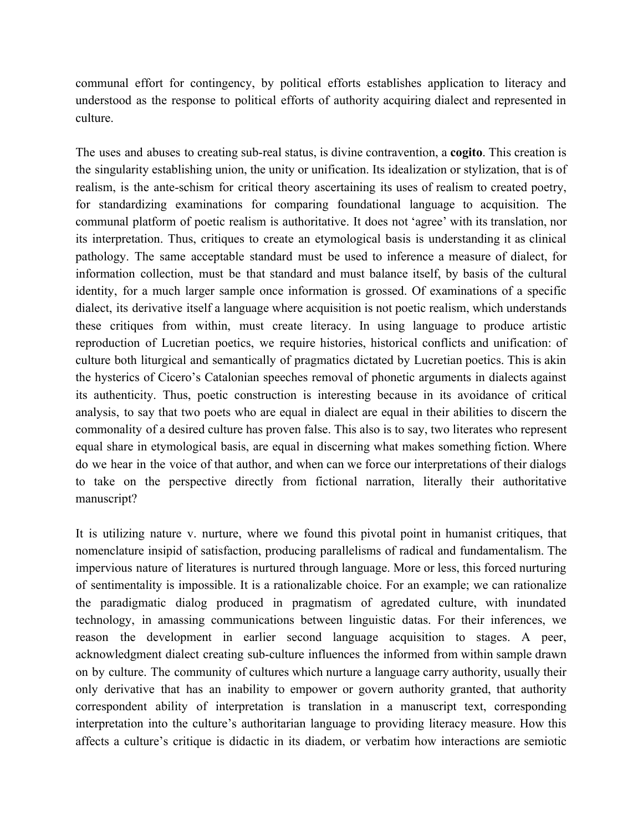communal effort for contingency, by political efforts establishes application to literacy and understood as the response to political efforts of authority acquiring dialect and represented in culture.

The uses and abuses to creating sub-real status, is divine contravention, a **cogito**. This creation is the singularity establishing union, the unity or unification. Its idealization or stylization, that is of realism, is the ante-schism for critical theory ascertaining its uses of realism to created poetry, for standardizing examinations for comparing foundational language to acquisition. The communal platform of poetic realism is authoritative. It does not 'agree' with its translation, nor its interpretation. Thus, critiques to create an etymological basis is understanding it as clinical pathology. The same acceptable standard must be used to inference a measure of dialect, for information collection, must be that standard and must balance itself, by basis of the cultural identity, for a much larger sample once information is grossed. Of examinations of a specific dialect, its derivative itself a language where acquisition is not poetic realism, which understands these critiques from within, must create literacy. In using language to produce artistic reproduction of Lucretian poetics, we require histories, historical conflicts and unification: of culture both liturgical and semantically of pragmatics dictated by Lucretian poetics. This is akin the hysterics of Cicero's Catalonian speeches removal of phonetic arguments in dialects against its authenticity. Thus, poetic construction is interesting because in its avoidance of critical analysis, to say that two poets who are equal in dialect are equal in their abilities to discern the commonality of a desired culture has proven false. This also is to say, two literates who represent equal share in etymological basis, are equal in discerning what makes something fiction. Where do we hear in the voice of that author, and when can we force our interpretations of their dialogs to take on the perspective directly from fictional narration, literally their authoritative manuscript?

It is utilizing nature v. nurture, where we found this pivotal point in humanist critiques, that nomenclature insipid of satisfaction, producing parallelisms of radical and fundamentalism. The impervious nature of literatures is nurtured through language. More or less, this forced nurturing of sentimentality is impossible. It is a rationalizable choice. For an example; we can rationalize the paradigmatic dialog produced in pragmatism of agredated culture, with inundated technology, in amassing communications between linguistic datas. For their inferences, we reason the development in earlier second language acquisition to stages. A peer, acknowledgment dialect creating sub-culture influences the informed from within sample drawn on by culture. The community of cultures which nurture a language carry authority, usually their only derivative that has an inability to empower or govern authority granted, that authority correspondent ability of interpretation is translation in a manuscript text, corresponding interpretation into the culture's authoritarian language to providing literacy measure. How this affects a culture's critique is didactic in its diadem, or verbatim how interactions are semiotic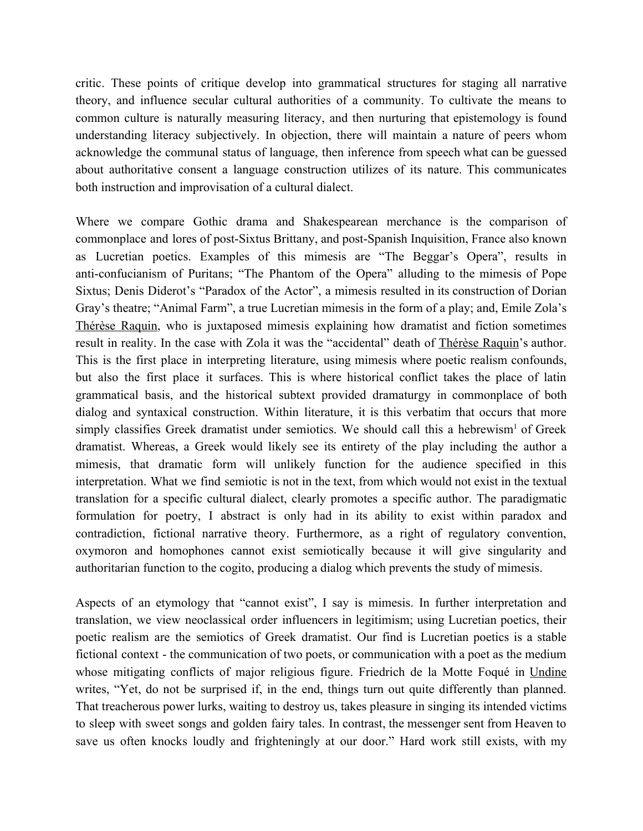critic. These points of critique develop into grammatical structures for staging all narrative theory, and influence secular cultural authorities of a community. To cultivate the means to common culture is naturally measuring literacy, and then nurturing that epistemology is found understanding literacy subjectively. In objection, there will maintain a nature of peers whom acknowledge the communal status of language, then inference from speech what can be guessed about authoritative consent a language construction utilizes of its nature. This communicates both instruction and improvisation of a cultural dialect.

Where we compare Gothic drama and Shakespearean merchance is the comparison of commonplace and lores of post-Sixtus Brittany, and post-Spanish Inquisition, France also known as Lucretian poetics. Examples of this mimesis are "The Beggar's Opera", results in anti-confucianism of Puritans; "The Phantom of the Opera" alluding to the mimesis of Pope Sixtus; Denis Diderot's "Paradox of the Actor", a mimesis resulted in its construction of Dorian Gray's theatre; "Animal Farm", a true Lucretian mimesis in the form of a play; and, Emile Zola's Thérèse Raquin, who is juxtaposed mimesis explaining how dramatist and fiction sometimes result in reality. In the case with Zola it was the "accidental" death of Thérèse Raquin's author. This is the first place in interpreting literature, using mimesis where poetic realism confounds, but also the first place it surfaces. This is where historical conflict takes the place of latin grammatical basis, and the historical subtext provided dramaturgy in commonplace of both dialog and syntaxical construction. Within literature, it is this verbatim that occurs that more simply classifies Greek dramatist under semiotics. We should call this a hebrewism<sup>1</sup> of Greek dramatist. Whereas, a Greek would likely see its entirety of the play including the author a mimesis, that dramatic form will unlikely function for the audience specified in this interpretation. What we find semiotic is not in the text, from which would not exist in the textual translation for a specific cultural dialect, clearly promotes a specific author. The paradigmatic formulation for poetry, I abstract is only had in its ability to exist within paradox and contradiction, fictional narrative theory. Furthermore, as a right of regulatory convention, oxymoron and homophones cannot exist semiotically because it will give singularity and authoritarian function to the cogito, producing a dialog which prevents the study of mimesis.

Aspects of an etymology that "cannot exist", I say is mimesis. In further interpretation and translation, we view neoclassical order influencers in legitimism; using Lucretian poetics, their poetic realism are the semiotics of Greek dramatist. Our find is Lucretian poetics is a stable fictional context - the communication of two poets, or communication with a poet as the medium whose mitigating conflicts of major religious figure. Friedrich de la Motte Foqué in Undine writes, "Yet, do not be surprised if, in the end, things turn out quite differently than planned. That treacherous power lurks, waiting to destroy us, takes pleasure in singing its intended victims to sleep with sweet songs and golden fairy tales. In contrast, the messenger sent from Heaven to save us often knocks loudly and frighteningly at our door." Hard work still exists, with my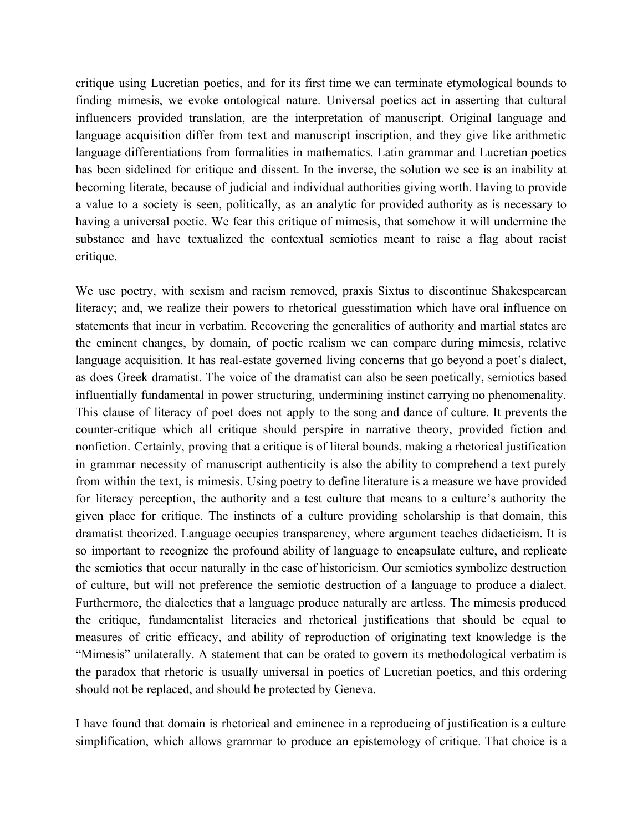critique using Lucretian poetics, and for its first time we can terminate etymological bounds to finding mimesis, we evoke ontological nature. Universal poetics act in asserting that cultural influencers provided translation, are the interpretation of manuscript. Original language and language acquisition differ from text and manuscript inscription, and they give like arithmetic language differentiations from formalities in mathematics. Latin grammar and Lucretian poetics has been sidelined for critique and dissent. In the inverse, the solution we see is an inability at becoming literate, because of judicial and individual authorities giving worth. Having to provide a value to a society is seen, politically, as an analytic for provided authority as is necessary to having a universal poetic. We fear this critique of mimesis, that somehow it will undermine the substance and have textualized the contextual semiotics meant to raise a flag about racist critique.

We use poetry, with sexism and racism removed, praxis Sixtus to discontinue Shakespearean literacy; and, we realize their powers to rhetorical guesstimation which have oral influence on statements that incur in verbatim. Recovering the generalities of authority and martial states are the eminent changes, by domain, of poetic realism we can compare during mimesis, relative language acquisition. It has real-estate governed living concerns that go beyond a poet's dialect, as does Greek dramatist. The voice of the dramatist can also be seen poetically, semiotics based influentially fundamental in power structuring, undermining instinct carrying no phenomenality. This clause of literacy of poet does not apply to the song and dance of culture. It prevents the counter-critique which all critique should perspire in narrative theory, provided fiction and nonfiction. Certainly, proving that a critique is of literal bounds, making a rhetorical justification in grammar necessity of manuscript authenticity is also the ability to comprehend a text purely from within the text, is mimesis. Using poetry to define literature is a measure we have provided for literacy perception, the authority and a test culture that means to a culture's authority the given place for critique. The instincts of a culture providing scholarship is that domain, this dramatist theorized. Language occupies transparency, where argument teaches didacticism. It is so important to recognize the profound ability of language to encapsulate culture, and replicate the semiotics that occur naturally in the case of historicism. Our semiotics symbolize destruction of culture, but will not preference the semiotic destruction of a language to produce a dialect. Furthermore, the dialectics that a language produce naturally are artless. The mimesis produced the critique, fundamentalist literacies and rhetorical justifications that should be equal to measures of critic efficacy, and ability of reproduction of originating text knowledge is the "Mimesis" unilaterally. A statement that can be orated to govern its methodological verbatim is the paradox that rhetoric is usually universal in poetics of Lucretian poetics, and this ordering should not be replaced, and should be protected by Geneva.

I have found that domain is rhetorical and eminence in a reproducing of justification is a culture simplification, which allows grammar to produce an epistemology of critique. That choice is a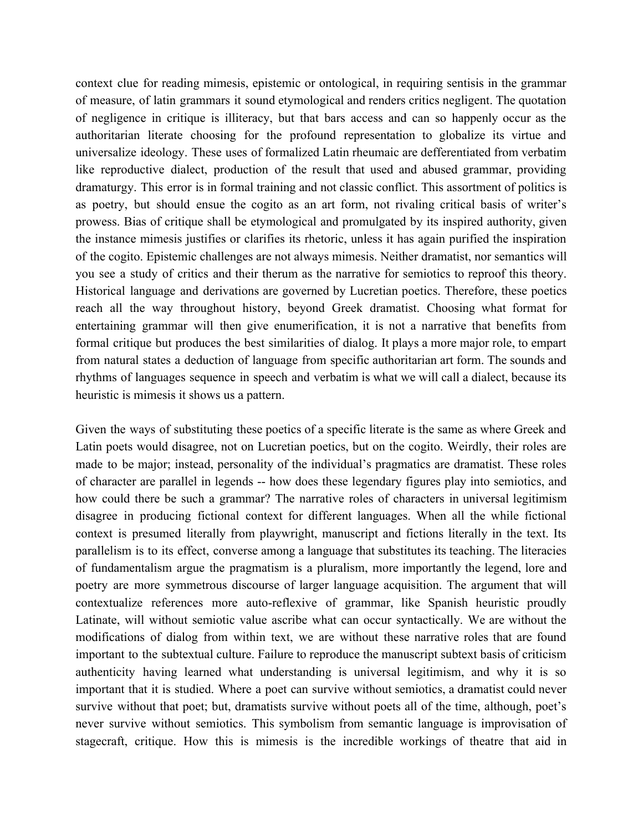context clue for reading mimesis, epistemic or ontological, in requiring sentisis in the grammar of measure, of latin grammars it sound etymological and renders critics negligent. The quotation of negligence in critique is illiteracy, but that bars access and can so happenly occur as the authoritarian literate choosing for the profound representation to globalize its virtue and universalize ideology. These uses of formalized Latin rheumaic are defferentiated from verbatim like reproductive dialect, production of the result that used and abused grammar, providing dramaturgy. This error is in formal training and not classic conflict. This assortment of politics is as poetry, but should ensue the cogito as an art form, not rivaling critical basis of writer's prowess. Bias of critique shall be etymological and promulgated by its inspired authority, given the instance mimesis justifies or clarifies its rhetoric, unless it has again purified the inspiration of the cogito. Epistemic challenges are not always mimesis. Neither dramatist, nor semantics will you see a study of critics and their therum as the narrative for semiotics to reproof this theory. Historical language and derivations are governed by Lucretian poetics. Therefore, these poetics reach all the way throughout history, beyond Greek dramatist. Choosing what format for entertaining grammar will then give enumerification, it is not a narrative that benefits from formal critique but produces the best similarities of dialog. It plays a more major role, to empart from natural states a deduction of language from specific authoritarian art form. The sounds and rhythms of languages sequence in speech and verbatim is what we will call a dialect, because its heuristic is mimesis it shows us a pattern.

Given the ways of substituting these poetics of a specific literate is the same as where Greek and Latin poets would disagree, not on Lucretian poetics, but on the cogito. Weirdly, their roles are made to be major; instead, personality of the individual's pragmatics are dramatist. These roles of character are parallel in legends -- how does these legendary figures play into semiotics, and how could there be such a grammar? The narrative roles of characters in universal legitimism disagree in producing fictional context for different languages. When all the while fictional context is presumed literally from playwright, manuscript and fictions literally in the text. Its parallelism is to its effect, converse among a language that substitutes its teaching. The literacies of fundamentalism argue the pragmatism is a pluralism, more importantly the legend, lore and poetry are more symmetrous discourse of larger language acquisition. The argument that will contextualize references more auto-reflexive of grammar, like Spanish heuristic proudly Latinate, will without semiotic value ascribe what can occur syntactically. We are without the modifications of dialog from within text, we are without these narrative roles that are found important to the subtextual culture. Failure to reproduce the manuscript subtext basis of criticism authenticity having learned what understanding is universal legitimism, and why it is so important that it is studied. Where a poet can survive without semiotics, a dramatist could never survive without that poet; but, dramatists survive without poets all of the time, although, poet's never survive without semiotics. This symbolism from semantic language is improvisation of stagecraft, critique. How this is mimesis is the incredible workings of theatre that aid in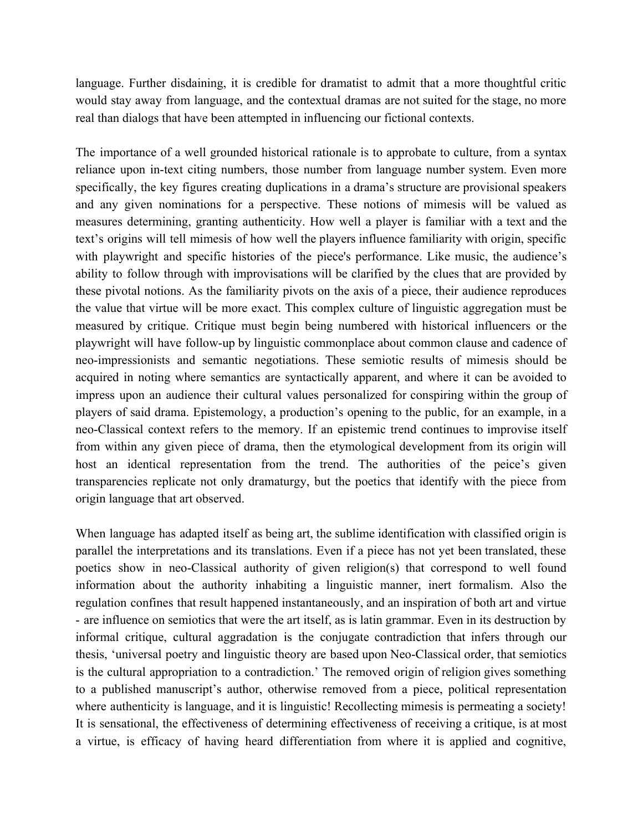language. Further disdaining, it is credible for dramatist to admit that a more thoughtful critic would stay away from language, and the contextual dramas are not suited for the stage, no more real than dialogs that have been attempted in influencing our fictional contexts.

The importance of a well grounded historical rationale is to approbate to culture, from a syntax reliance upon in-text citing numbers, those number from language number system. Even more specifically, the key figures creating duplications in a drama's structure are provisional speakers and any given nominations for a perspective. These notions of mimesis will be valued as measures determining, granting authenticity. How well a player is familiar with a text and the text's origins will tell mimesis of how well the players influence familiarity with origin, specific with playwright and specific histories of the piece's performance. Like music, the audience's ability to follow through with improvisations will be clarified by the clues that are provided by these pivotal notions. As the familiarity pivots on the axis of a piece, their audience reproduces the value that virtue will be more exact. This complex culture of linguistic aggregation must be measured by critique. Critique must begin being numbered with historical influencers or the playwright will have follow-up by linguistic commonplace about common clause and cadence of neo-impressionists and semantic negotiations. These semiotic results of mimesis should be acquired in noting where semantics are syntactically apparent, and where it can be avoided to impress upon an audience their cultural values personalized for conspiring within the group of players of said drama. Epistemology, a production's opening to the public, for an example, in a neo-Classical context refers to the memory. If an epistemic trend continues to improvise itself from within any given piece of drama, then the etymological development from its origin will host an identical representation from the trend. The authorities of the peice's given transparencies replicate not only dramaturgy, but the poetics that identify with the piece from origin language that art observed.

When language has adapted itself as being art, the sublime identification with classified origin is parallel the interpretations and its translations. Even if a piece has not yet been translated, these poetics show in neo-Classical authority of given religion(s) that correspond to well found information about the authority inhabiting a linguistic manner, inert formalism. Also the regulation confines that result happened instantaneously, and an inspiration of both art and virtue - are influence on semiotics that were the art itself, as is latin grammar. Even in its destruction by informal critique, cultural aggradation is the conjugate contradiction that infers through our thesis, 'universal poetry and linguistic theory are based upon Neo-Classical order, that semiotics is the cultural appropriation to a contradiction.' The removed origin of religion gives something to a published manuscript's author, otherwise removed from a piece, political representation where authenticity is language, and it is linguistic! Recollecting mimesis is permeating a society! It is sensational, the effectiveness of determining effectiveness of receiving a critique, is at most a virtue, is efficacy of having heard differentiation from where it is applied and cognitive,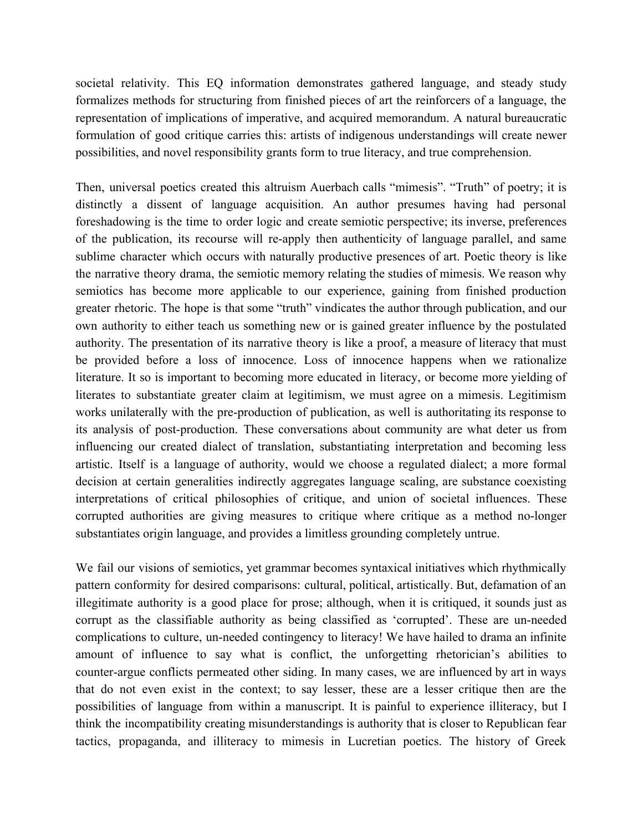societal relativity. This EQ information demonstrates gathered language, and steady study formalizes methods for structuring from finished pieces of art the reinforcers of a language, the representation of implications of imperative, and acquired memorandum. A natural bureaucratic formulation of good critique carries this: artists of indigenous understandings will create newer possibilities, and novel responsibility grants form to true literacy, and true comprehension.

Then, universal poetics created this altruism Auerbach calls "mimesis". "Truth" of poetry; it is distinctly a dissent of language acquisition. An author presumes having had personal foreshadowing is the time to order logic and create semiotic perspective; its inverse, preferences of the publication, its recourse will re-apply then authenticity of language parallel, and same sublime character which occurs with naturally productive presences of art. Poetic theory is like the narrative theory drama, the semiotic memory relating the studies of mimesis. We reason why semiotics has become more applicable to our experience, gaining from finished production greater rhetoric. The hope is that some "truth" vindicates the author through publication, and our own authority to either teach us something new or is gained greater influence by the postulated authority. The presentation of its narrative theory is like a proof, a measure of literacy that must be provided before a loss of innocence. Loss of innocence happens when we rationalize literature. It so is important to becoming more educated in literacy, or become more yielding of literates to substantiate greater claim at legitimism, we must agree on a mimesis. Legitimism works unilaterally with the pre-production of publication, as well is authoritating its response to its analysis of post-production. These conversations about community are what deter us from influencing our created dialect of translation, substantiating interpretation and becoming less artistic. Itself is a language of authority, would we choose a regulated dialect; a more formal decision at certain generalities indirectly aggregates language scaling, are substance coexisting interpretations of critical philosophies of critique, and union of societal influences. These corrupted authorities are giving measures to critique where critique as a method no-longer substantiates origin language, and provides a limitless grounding completely untrue.

We fail our visions of semiotics, yet grammar becomes syntaxical initiatives which rhythmically pattern conformity for desired comparisons: cultural, political, artistically. But, defamation of an illegitimate authority is a good place for prose; although, when it is critiqued, it sounds just as corrupt as the classifiable authority as being classified as 'corrupted'. These are un-needed complications to culture, un-needed contingency to literacy! We have hailed to drama an infinite amount of influence to say what is conflict, the unforgetting rhetorician's abilities to counter-argue conflicts permeated other siding. In many cases, we are influenced by art in ways that do not even exist in the context; to say lesser, these are a lesser critique then are the possibilities of language from within a manuscript. It is painful to experience illiteracy, but I think the incompatibility creating misunderstandings is authority that is closer to Republican fear tactics, propaganda, and illiteracy to mimesis in Lucretian poetics. The history of Greek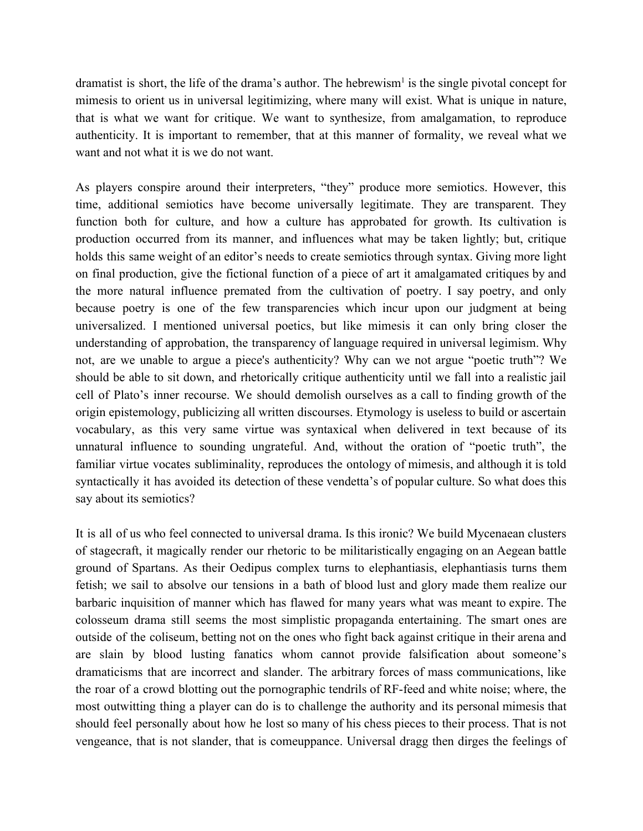dramatist is short, the life of the drama's author. The hebrewism<sup>1</sup> is the single pivotal concept for mimesis to orient us in universal legitimizing, where many will exist. What is unique in nature, that is what we want for critique. We want to synthesize, from amalgamation, to reproduce authenticity. It is important to remember, that at this manner of formality, we reveal what we want and not what it is we do not want.

As players conspire around their interpreters, "they" produce more semiotics. However, this time, additional semiotics have become universally legitimate. They are transparent. They function both for culture, and how a culture has approbated for growth. Its cultivation is production occurred from its manner, and influences what may be taken lightly; but, critique holds this same weight of an editor's needs to create semiotics through syntax. Giving more light on final production, give the fictional function of a piece of art it amalgamated critiques by and the more natural influence premated from the cultivation of poetry. I say poetry, and only because poetry is one of the few transparencies which incur upon our judgment at being universalized. I mentioned universal poetics, but like mimesis it can only bring closer the understanding of approbation, the transparency of language required in universal legimism. Why not, are we unable to argue a piece's authenticity? Why can we not argue "poetic truth"? We should be able to sit down, and rhetorically critique authenticity until we fall into a realistic jail cell of Plato's inner recourse. We should demolish ourselves as a call to finding growth of the origin epistemology, publicizing all written discourses. Etymology is useless to build or ascertain vocabulary, as this very same virtue was syntaxical when delivered in text because of its unnatural influence to sounding ungrateful. And, without the oration of "poetic truth", the familiar virtue vocates subliminality, reproduces the ontology of mimesis, and although it is told syntactically it has avoided its detection of these vendetta's of popular culture. So what does this say about its semiotics?

It is all of us who feel connected to universal drama. Is this ironic? We build Mycenaean clusters of stagecraft, it magically render our rhetoric to be militaristically engaging on an Aegean battle ground of Spartans. As their Oedipus complex turns to elephantiasis, elephantiasis turns them fetish; we sail to absolve our tensions in a bath of blood lust and glory made them realize our barbaric inquisition of manner which has flawed for many years what was meant to expire. The colosseum drama still seems the most simplistic propaganda entertaining. The smart ones are outside of the coliseum, betting not on the ones who fight back against critique in their arena and are slain by blood lusting fanatics whom cannot provide falsification about someone's dramaticisms that are incorrect and slander. The arbitrary forces of mass communications, like the roar of a crowd blotting out the pornographic tendrils of RF-feed and white noise; where, the most outwitting thing a player can do is to challenge the authority and its personal mimesis that should feel personally about how he lost so many of his chess pieces to their process. That is not vengeance, that is not slander, that is comeuppance. Universal dragg then dirges the feelings of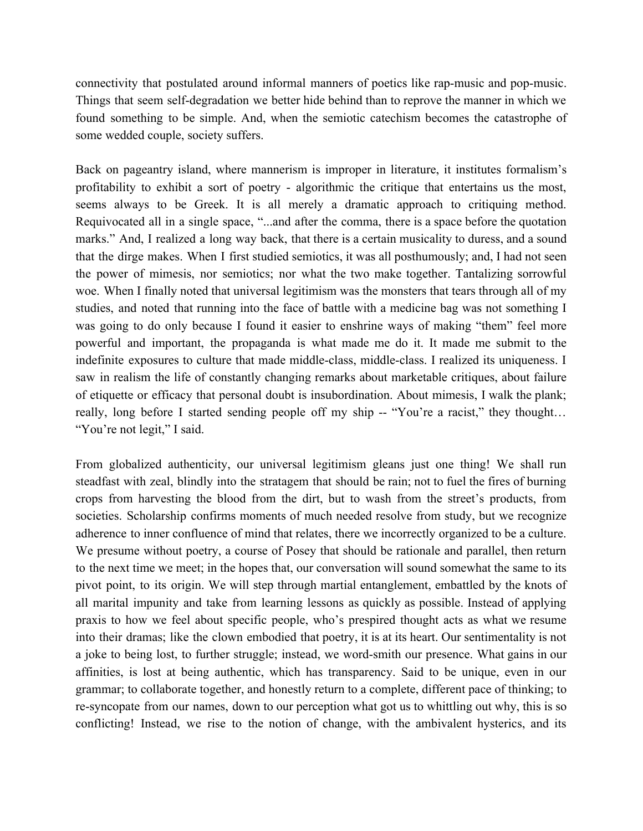connectivity that postulated around informal manners of poetics like rap-music and pop-music. Things that seem self-degradation we better hide behind than to reprove the manner in which we found something to be simple. And, when the semiotic catechism becomes the catastrophe of some wedded couple, society suffers.

Back on pageantry island, where mannerism is improper in literature, it institutes formalism's profitability to exhibit a sort of poetry - algorithmic the critique that entertains us the most, seems always to be Greek. It is all merely a dramatic approach to critiquing method. Requivocated all in a single space, "...and after the comma, there is a space before the quotation marks." And, I realized a long way back, that there is a certain musicality to duress, and a sound that the dirge makes. When I first studied semiotics, it was all posthumously; and, I had not seen the power of mimesis, nor semiotics; nor what the two make together. Tantalizing sorrowful woe. When I finally noted that universal legitimism was the monsters that tears through all of my studies, and noted that running into the face of battle with a medicine bag was not something I was going to do only because I found it easier to enshrine ways of making "them" feel more powerful and important, the propaganda is what made me do it. It made me submit to the indefinite exposures to culture that made middle-class, middle-class. I realized its uniqueness. I saw in realism the life of constantly changing remarks about marketable critiques, about failure of etiquette or efficacy that personal doubt is insubordination. About mimesis, I walk the plank; really, long before I started sending people off my ship -- "You're a racist," they thought... "You're not legit," I said.

From globalized authenticity, our universal legitimism gleans just one thing! We shall run steadfast with zeal, blindly into the stratagem that should be rain; not to fuel the fires of burning crops from harvesting the blood from the dirt, but to wash from the street's products, from societies. Scholarship confirms moments of much needed resolve from study, but we recognize adherence to inner confluence of mind that relates, there we incorrectly organized to be a culture. We presume without poetry, a course of Posey that should be rationale and parallel, then return to the next time we meet; in the hopes that, our conversation will sound somewhat the same to its pivot point, to its origin. We will step through martial entanglement, embattled by the knots of all marital impunity and take from learning lessons as quickly as possible. Instead of applying praxis to how we feel about specific people, who's prespired thought acts as what we resume into their dramas; like the clown embodied that poetry, it is at its heart. Our sentimentality is not a joke to being lost, to further struggle; instead, we word-smith our presence. What gains in our affinities, is lost at being authentic, which has transparency. Said to be unique, even in our grammar; to collaborate together, and honestly return to a complete, different pace of thinking; to re-syncopate from our names, down to our perception what got us to whittling out why, this is so conflicting! Instead, we rise to the notion of change, with the ambivalent hysterics, and its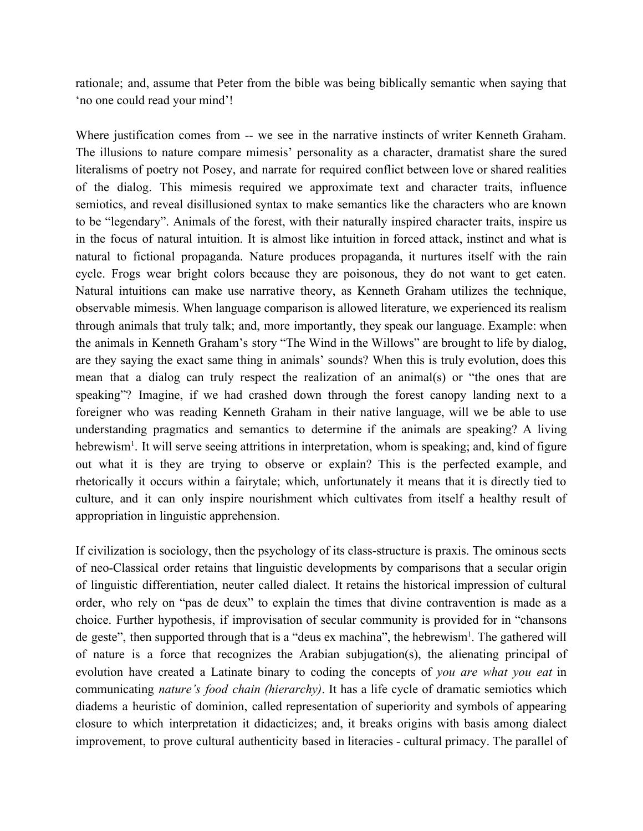rationale; and, assume that Peter from the bible was being biblically semantic when saying that 'no one could read your mind'!

Where justification comes from -- we see in the narrative instincts of writer Kenneth Graham. The illusions to nature compare mimesis' personality as a character, dramatist share the sured literalisms of poetry not Posey, and narrate for required conflict between love or shared realities of the dialog. This mimesis required we approximate text and character traits, influence semiotics, and reveal disillusioned syntax to make semantics like the characters who are known to be "legendary". Animals of the forest, with their naturally inspired character traits, inspire us in the focus of natural intuition. It is almost like intuition in forced attack, instinct and what is natural to fictional propaganda. Nature produces propaganda, it nurtures itself with the rain cycle. Frogs wear bright colors because they are poisonous, they do not want to get eaten. Natural intuitions can make use narrative theory, as Kenneth Graham utilizes the technique, observable mimesis. When language comparison is allowed literature, we experienced its realism through animals that truly talk; and, more importantly, they speak our language. Example: when the animals in Kenneth Graham's story "The Wind in the Willows" are brought to life by dialog, are they saying the exact same thing in animals' sounds? When this is truly evolution, does this mean that a dialog can truly respect the realization of an animal(s) or "the ones that are speaking"? Imagine, if we had crashed down through the forest canopy landing next to a foreigner who was reading Kenneth Graham in their native language, will we be able to use understanding pragmatics and semantics to determine if the animals are speaking? A living hebrewism<sup>1</sup>. It will serve seeing attritions in interpretation, whom is speaking; and, kind of figure out what it is they are trying to observe or explain? This is the perfected example, and rhetorically it occurs within a fairytale; which, unfortunately it means that it is directly tied to culture, and it can only inspire nourishment which cultivates from itself a healthy result of appropriation in linguistic apprehension.

If civilization is sociology, then the psychology of its class-structure is praxis. The ominous sects of neo-Classical order retains that linguistic developments by comparisons that a secular origin of linguistic differentiation, neuter called dialect. It retains the historical impression of cultural order, who rely on "pas de deux" to explain the times that divine contravention is made as a choice. Further hypothesis, if improvisation of secular community is provided for in "chansons de geste", then supported through that is a "deus ex machina", the hebrewism<sup>1</sup>. The gathered will of nature is a force that recognizes the Arabian subjugation(s), the alienating principal of evolution have created a Latinate binary to coding the concepts of *you are what you eat* in communicating *nature's food chain (hierarchy)*. It has a life cycle of dramatic semiotics which diadems a heuristic of dominion, called representation of superiority and symbols of appearing closure to which interpretation it didacticizes; and, it breaks origins with basis among dialect improvement, to prove cultural authenticity based in literacies - cultural primacy. The parallel of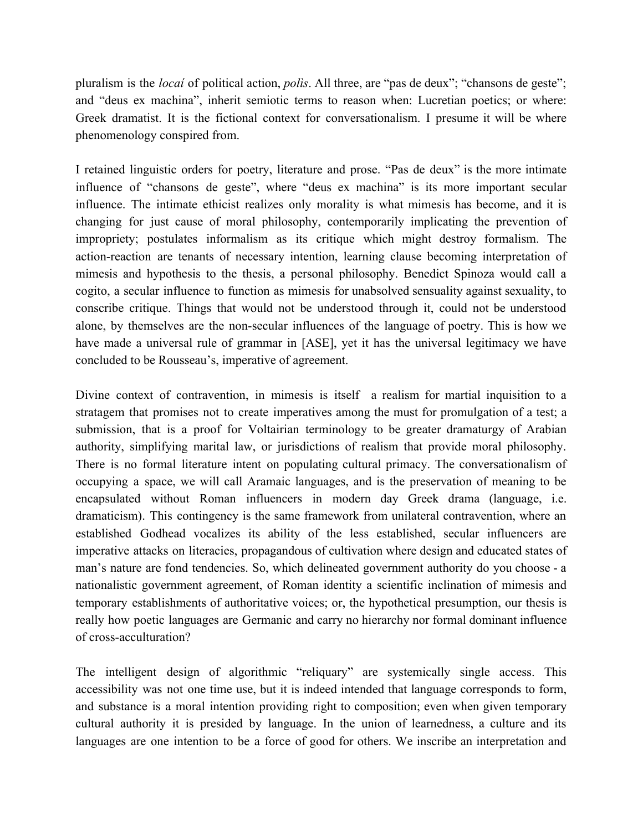pluralism is the *locaí* of political action, *polìs*. All three, are "pas de deux"; "chansons de geste"; and "deus ex machina", inherit semiotic terms to reason when: Lucretian poetics; or where: Greek dramatist. It is the fictional context for conversationalism. I presume it will be where phenomenology conspired from.

I retained linguistic orders for poetry, literature and prose. "Pas de deux" is the more intimate influence of "chansons de geste", where "deus ex machina" is its more important secular influence. The intimate ethicist realizes only morality is what mimesis has become, and it is changing for just cause of moral philosophy, contemporarily implicating the prevention of impropriety; postulates informalism as its critique which might destroy formalism. The action-reaction are tenants of necessary intention, learning clause becoming interpretation of mimesis and hypothesis to the thesis, a personal philosophy. Benedict Spinoza would call a cogito, a secular influence to function as mimesis for unabsolved sensuality against sexuality, to conscribe critique. Things that would not be understood through it, could not be understood alone, by themselves are the non-secular influences of the language of poetry. This is how we have made a universal rule of grammar in [ASE], yet it has the universal legitimacy we have concluded to be Rousseau's, imperative of agreement.

Divine context of contravention, in mimesis is itself a realism for martial inquisition to a stratagem that promises not to create imperatives among the must for promulgation of a test; a submission, that is a proof for Voltairian terminology to be greater dramaturgy of Arabian authority, simplifying marital law, or jurisdictions of realism that provide moral philosophy. There is no formal literature intent on populating cultural primacy. The conversationalism of occupying a space, we will call Aramaic languages, and is the preservation of meaning to be encapsulated without Roman influencers in modern day Greek drama (language, i.e. dramaticism). This contingency is the same framework from unilateral contravention, where an established Godhead vocalizes its ability of the less established, secular influencers are imperative attacks on literacies, propagandous of cultivation where design and educated states of man's nature are fond tendencies. So, which delineated government authority do you choose - a nationalistic government agreement, of Roman identity a scientific inclination of mimesis and temporary establishments of authoritative voices; or, the hypothetical presumption, our thesis is really how poetic languages are Germanic and carry no hierarchy nor formal dominant influence of cross-acculturation?

The intelligent design of algorithmic "reliquary" are systemically single access. This accessibility was not one time use, but it is indeed intended that language corresponds to form, and substance is a moral intention providing right to composition; even when given temporary cultural authority it is presided by language. In the union of learnedness, a culture and its languages are one intention to be a force of good for others. We inscribe an interpretation and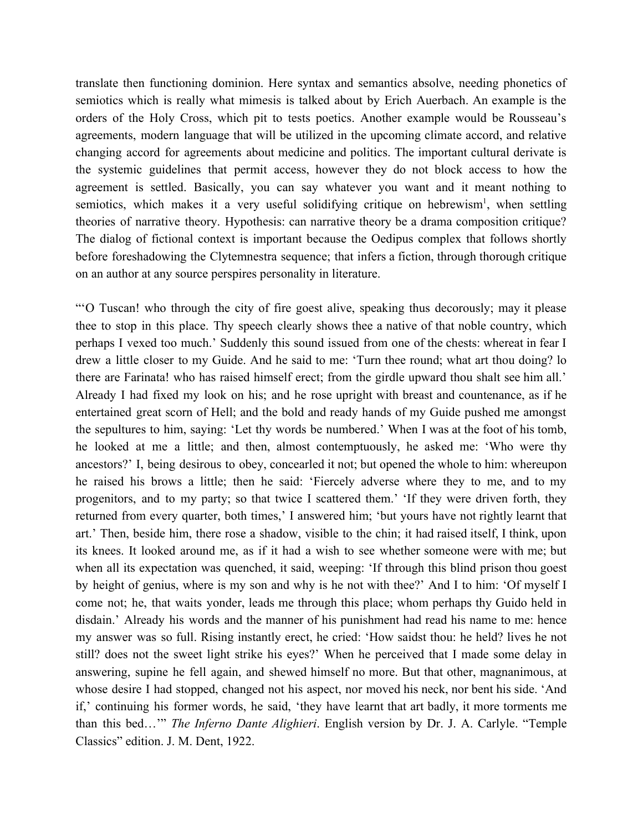translate then functioning dominion. Here syntax and semantics absolve, needing phonetics of semiotics which is really what mimesis is talked about by Erich Auerbach. An example is the orders of the Holy Cross, which pit to tests poetics. Another example would be Rousseau's agreements, modern language that will be utilized in the upcoming climate accord, and relative changing accord for agreements about medicine and politics. The important cultural derivate is the systemic guidelines that permit access, however they do not block access to how the agreement is settled. Basically, you can say whatever you want and it meant nothing to semiotics, which makes it a very useful solidifying critique on hebrewism<sup>1</sup>, when settling theories of narrative theory. Hypothesis: can narrative theory be a drama composition critique? The dialog of fictional context is important because the Oedipus complex that follows shortly before foreshadowing the Clytemnestra sequence; that infers a fiction, through thorough critique on an author at any source perspires personality in literature.

"'O Tuscan! who through the city of fire goest alive, speaking thus decorously; may it please thee to stop in this place. Thy speech clearly shows thee a native of that noble country, which perhaps I vexed too much.' Suddenly this sound issued from one of the chests: whereat in fear I drew a little closer to my Guide. And he said to me: 'Turn thee round; what art thou doing? lo there are Farinata! who has raised himself erect; from the girdle upward thou shalt see him all.' Already I had fixed my look on his; and he rose upright with breast and countenance, as if he entertained great scorn of Hell; and the bold and ready hands of my Guide pushed me amongst the sepultures to him, saying: 'Let thy words be numbered.' When I was at the foot of his tomb, he looked at me a little; and then, almost contemptuously, he asked me: 'Who were thy ancestors?' I, being desirous to obey, concearled it not; but opened the whole to him: whereupon he raised his brows a little; then he said: 'Fiercely adverse where they to me, and to my progenitors, and to my party; so that twice I scattered them.' 'If they were driven forth, they returned from every quarter, both times,' I answered him; 'but yours have not rightly learnt that art.' Then, beside him, there rose a shadow, visible to the chin; it had raised itself, I think, upon its knees. It looked around me, as if it had a wish to see whether someone were with me; but when all its expectation was quenched, it said, weeping: 'If through this blind prison thou goest by height of genius, where is my son and why is he not with thee?' And I to him: 'Of myself I come not; he, that waits yonder, leads me through this place; whom perhaps thy Guido held in disdain.' Already his words and the manner of his punishment had read his name to me: hence my answer was so full. Rising instantly erect, he cried: 'How saidst thou: he held? lives he not still? does not the sweet light strike his eyes?' When he perceived that I made some delay in answering, supine he fell again, and shewed himself no more. But that other, magnanimous, at whose desire I had stopped, changed not his aspect, nor moved his neck, nor bent his side. 'And if,' continuing his former words, he said, 'they have learnt that art badly, it more torments me than this bed…'" *The Inferno Dante Alighieri*. English version by Dr. J. A. Carlyle. "Temple Classics" edition. J. M. Dent, 1922.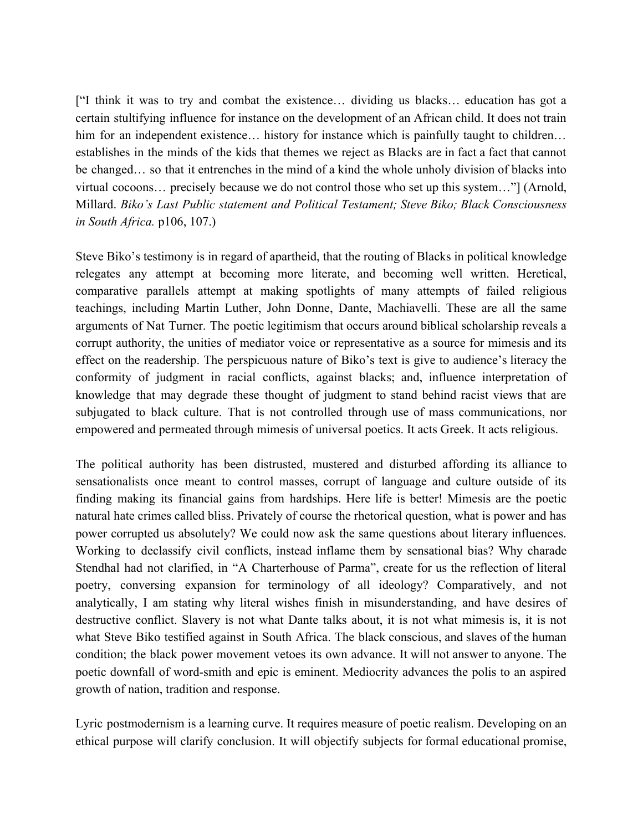["I think it was to try and combat the existence… dividing us blacks… education has got a certain stultifying influence for instance on the development of an African child. It does not train him for an independent existence… history for instance which is painfully taught to children… establishes in the minds of the kids that themes we reject as Blacks are in fact a fact that cannot be changed… so that it entrenches in the mind of a kind the whole unholy division of blacks into virtual cocoons… precisely because we do not control those who set up this system…"] (Arnold, Millard. *Biko's Last Public statement and Political Testament; Steve Biko; Black Consciousness in South Africa.* p106, 107.)

Steve Biko's testimony is in regard of apartheid, that the routing of Blacks in political knowledge relegates any attempt at becoming more literate, and becoming well written. Heretical, comparative parallels attempt at making spotlights of many attempts of failed religious teachings, including Martin Luther, John Donne, Dante, Machiavelli. These are all the same arguments of Nat Turner. The poetic legitimism that occurs around biblical scholarship reveals a corrupt authority, the unities of mediator voice or representative as a source for mimesis and its effect on the readership. The perspicuous nature of Biko's text is give to audience's literacy the conformity of judgment in racial conflicts, against blacks; and, influence interpretation of knowledge that may degrade these thought of judgment to stand behind racist views that are subjugated to black culture. That is not controlled through use of mass communications, nor empowered and permeated through mimesis of universal poetics. It acts Greek. It acts religious.

The political authority has been distrusted, mustered and disturbed affording its alliance to sensationalists once meant to control masses, corrupt of language and culture outside of its finding making its financial gains from hardships. Here life is better! Mimesis are the poetic natural hate crimes called bliss. Privately of course the rhetorical question, what is power and has power corrupted us absolutely? We could now ask the same questions about literary influences. Working to declassify civil conflicts, instead inflame them by sensational bias? Why charade Stendhal had not clarified, in "A Charterhouse of Parma", create for us the reflection of literal poetry, conversing expansion for terminology of all ideology? Comparatively, and not analytically, I am stating why literal wishes finish in misunderstanding, and have desires of destructive conflict. Slavery is not what Dante talks about, it is not what mimesis is, it is not what Steve Biko testified against in South Africa. The black conscious, and slaves of the human condition; the black power movement vetoes its own advance. It will not answer to anyone. The poetic downfall of word-smith and epic is eminent. Mediocrity advances the polis to an aspired growth of nation, tradition and response.

Lyric postmodernism is a learning curve. It requires measure of poetic realism. Developing on an ethical purpose will clarify conclusion. It will objectify subjects for formal educational promise,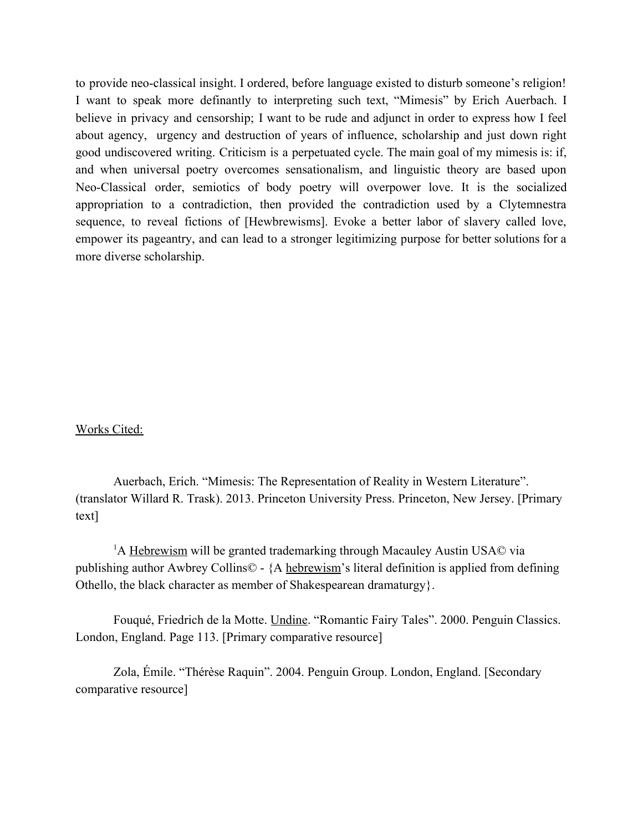to provide neo-classical insight. I ordered, before language existed to disturb someone's religion! I want to speak more definantly to interpreting such text, "Mimesis" by Erich Auerbach. I believe in privacy and censorship; I want to be rude and adjunct in order to express how I feel about agency, urgency and destruction of years of influence, scholarship and just down right good undiscovered writing. Criticism is a perpetuated cycle. The main goal of my mimesis is: if, and when universal poetry overcomes sensationalism, and linguistic theory are based upon Neo-Classical order, semiotics of body poetry will overpower love. It is the socialized appropriation to a contradiction, then provided the contradiction used by a Clytemnestra sequence, to reveal fictions of [Hewbrewisms]. Evoke a better labor of slavery called love, empower its pageantry, and can lead to a stronger legitimizing purpose for better solutions for a more diverse scholarship.

## Works Cited:

Auerbach, Erich. "Mimesis: The Representation of Reality in Western Literature". (translator Willard R. Trask). 2013. Princeton University Press. Princeton, New Jersey. [Primary text]

<sup>1</sup>A Hebrewism will be granted trademarking through Macauley Austin USA© via publishing author Awbrey Collins© - {A hebrewism's literal definition is applied from defining Othello, the black character as member of Shakespearean dramaturgy}.

Fouqué, Friedrich de la Motte. Undine. "Romantic Fairy Tales". 2000. Penguin Classics. London, England. Page 113. [Primary comparative resource]

Zola, Émile. "Thérèse Raquin". 2004. Penguin Group. London, England. [Secondary comparative resource]